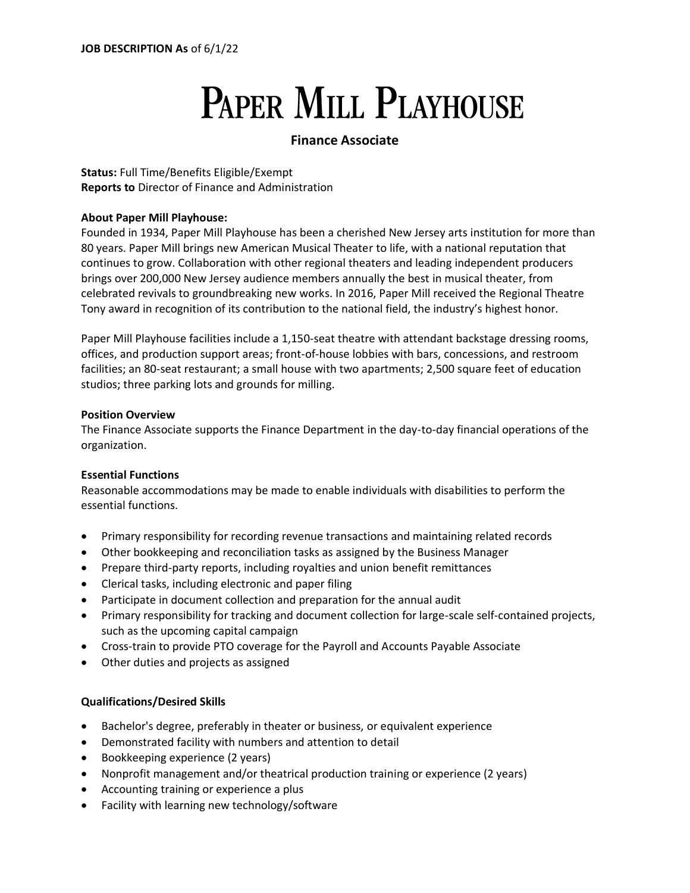# **PAPER MILL PLAYHOUSE**

# **Finance Associate**

**Status:** Full Time/Benefits Eligible/Exempt **Reports to** Director of Finance and Administration

# **About Paper Mill Playhouse:**

Founded in 1934, Paper Mill Playhouse has been a cherished New Jersey arts institution for more than 80 years. Paper Mill brings new American Musical Theater to life, with a national reputation that continues to grow. Collaboration with other regional theaters and leading independent producers brings over 200,000 New Jersey audience members annually the best in musical theater, from celebrated revivals to groundbreaking new works. In 2016, Paper Mill received the Regional Theatre Tony award in recognition of its contribution to the national field, the industry's highest honor.

Paper Mill Playhouse facilities include a 1,150-seat theatre with attendant backstage dressing rooms, offices, and production support areas; front-of-house lobbies with bars, concessions, and restroom facilities; an 80-seat restaurant; a small house with two apartments; 2,500 square feet of education studios; three parking lots and grounds for milling.

# **Position Overview**

The Finance Associate supports the Finance Department in the day-to-day financial operations of the organization.

# **Essential Functions**

Reasonable accommodations may be made to enable individuals with disabilities to perform the essential functions.

- Primary responsibility for recording revenue transactions and maintaining related records
- Other bookkeeping and reconciliation tasks as assigned by the Business Manager
- Prepare third-party reports, including royalties and union benefit remittances
- Clerical tasks, including electronic and paper filing
- Participate in document collection and preparation for the annual audit
- Primary responsibility for tracking and document collection for large-scale self-contained projects, such as the upcoming capital campaign
- Cross-train to provide PTO coverage for the Payroll and Accounts Payable Associate
- Other duties and projects as assigned

# **Qualifications/Desired Skills**

- Bachelor's degree, preferably in theater or business, or equivalent experience
- Demonstrated facility with numbers and attention to detail
- Bookkeeping experience (2 years)
- Nonprofit management and/or theatrical production training or experience (2 years)
- Accounting training or experience a plus
- Facility with learning new technology/software